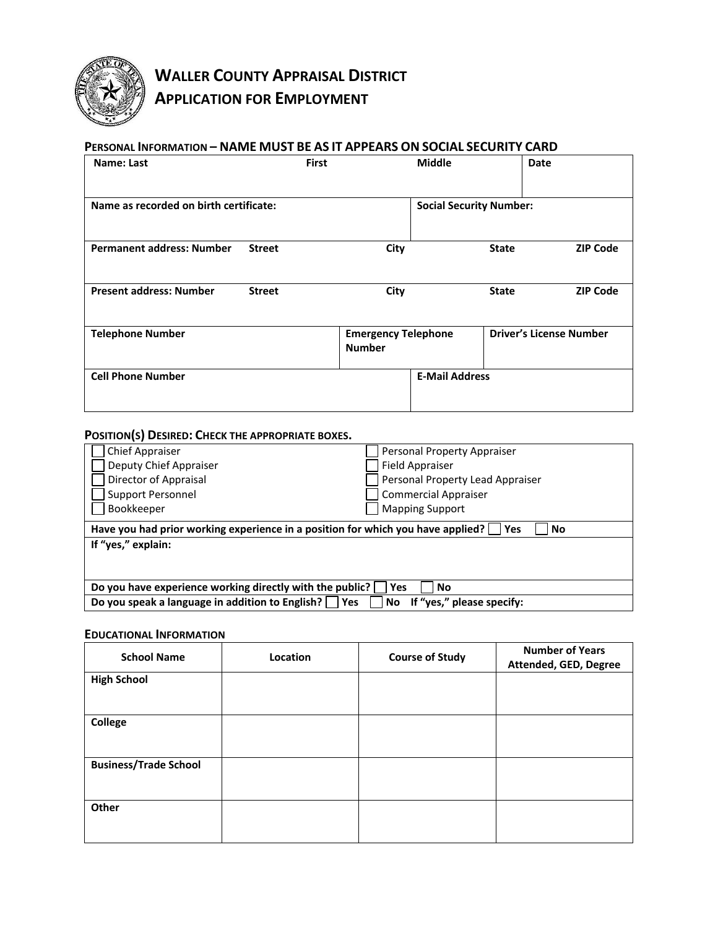

# **WALLER COUNTY APPRAISAL DISTRICT APPLICATION FOR EMPLOYMENT**

#### **PERSONAL INFORMATION – NAME MUST BE AS IT APPEARS ON SOCIAL SECURITY CARD**

|               | <b>First</b>                           | <b>Middle</b> | Date                           |                                                         |
|---------------|----------------------------------------|---------------|--------------------------------|---------------------------------------------------------|
|               |                                        |               |                                |                                                         |
| <b>Street</b> | City                                   |               | <b>State</b>                   | <b>ZIP Code</b>                                         |
| <b>Street</b> | City                                   |               | <b>State</b>                   | <b>ZIP Code</b>                                         |
|               | <b>Number</b>                          |               | <b>Driver's License Number</b> |                                                         |
|               |                                        |               |                                |                                                         |
|               | Name as recorded on birth certificate: |               | <b>Emergency Telephone</b>     | <b>Social Security Number:</b><br><b>E-Mail Address</b> |

#### **POSITION(S) DESIRED: CHECK THE APPROPRIATE BOXES.**

| <b>Chief Appraiser</b>                                                          | Personal Property Appraiser      |  |
|---------------------------------------------------------------------------------|----------------------------------|--|
| Deputy Chief Appraiser                                                          | <b>Field Appraiser</b>           |  |
| Director of Appraisal                                                           | Personal Property Lead Appraiser |  |
| <b>Support Personnel</b>                                                        | <b>Commercial Appraiser</b>      |  |
| Bookkeeper                                                                      | <b>Mapping Support</b>           |  |
| Have you had prior working experience in a position for which you have applied? | No<br>Yes                        |  |
| If "yes," explain:                                                              |                                  |  |
|                                                                                 |                                  |  |
|                                                                                 |                                  |  |
| Do you have experience working directly with the public?<br>Yes<br><b>No</b>    |                                  |  |
| Do you speak a language in addition to English? Yes                             | If "yes," please specify:<br>No  |  |

#### **EDUCATIONAL INFORMATION**

| <b>School Name</b>           | Location | <b>Course of Study</b> | <b>Number of Years</b><br>Attended, GED, Degree |
|------------------------------|----------|------------------------|-------------------------------------------------|
| <b>High School</b>           |          |                        |                                                 |
| College                      |          |                        |                                                 |
| <b>Business/Trade School</b> |          |                        |                                                 |
| Other                        |          |                        |                                                 |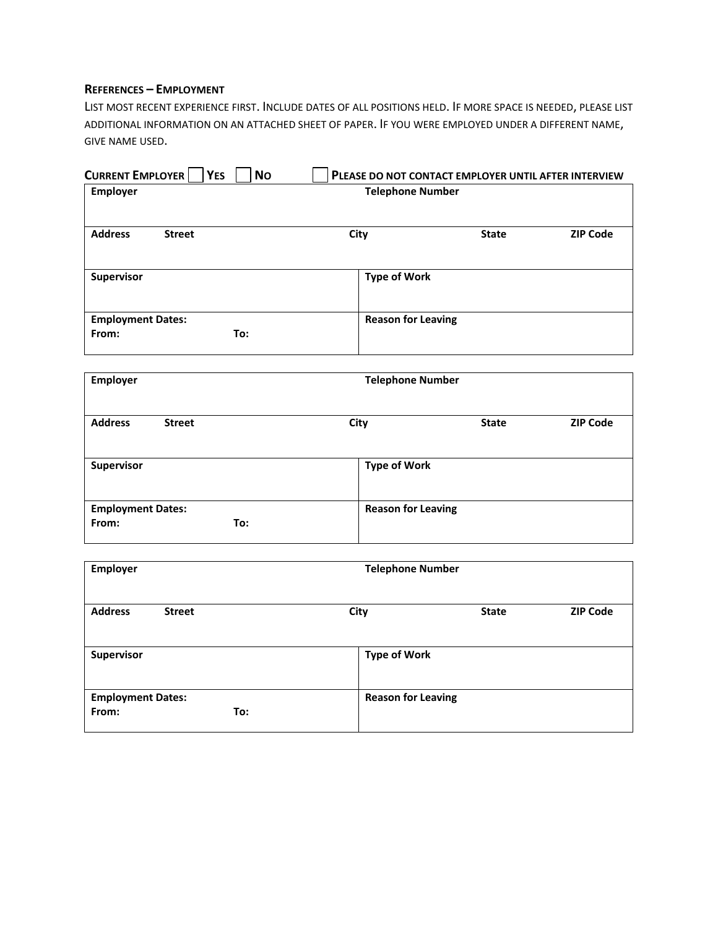#### **REFERENCES – EMPLOYMENT**

LIST MOST RECENT EXPERIENCE FIRST. INCLUDE DATES OF ALL POSITIONS HELD. IF MORE SPACE IS NEEDED, PLEASE LIST ADDITIONAL INFORMATION ON AN ATTACHED SHEET OF PAPER. IF YOU WERE EMPLOYED UNDER A DIFFERENT NAME, GIVE NAME USED.

| <b>CURRENT EMPLOYER</b>  | <b>YES</b>    | <b>No</b> |                           | PLEASE DO NOT CONTACT EMPLOYER UNTIL AFTER INTERVIEW |                 |
|--------------------------|---------------|-----------|---------------------------|------------------------------------------------------|-----------------|
| <b>Employer</b>          |               |           | <b>Telephone Number</b>   |                                                      |                 |
|                          |               |           |                           |                                                      |                 |
| <b>Address</b>           | <b>Street</b> |           | City                      | <b>State</b>                                         | <b>ZIP Code</b> |
|                          |               |           |                           |                                                      |                 |
| Supervisor               |               |           | <b>Type of Work</b>       |                                                      |                 |
|                          |               |           |                           |                                                      |                 |
| <b>Employment Dates:</b> |               |           | <b>Reason for Leaving</b> |                                                      |                 |
| From:                    | To:           |           |                           |                                                      |                 |
|                          |               |           |                           |                                                      |                 |
| <b>Employer</b>          |               |           | <b>Telephone Number</b>   |                                                      |                 |
|                          |               |           |                           |                                                      |                 |
| <b>Address</b>           | <b>Street</b> |           | City                      | <b>State</b>                                         | <b>ZIP Code</b> |
|                          |               |           |                           |                                                      |                 |
| Supervisor               |               |           | <b>Type of Work</b>       |                                                      |                 |
|                          |               |           |                           |                                                      |                 |
| <b>Employment Dates:</b> |               |           | <b>Reason for Leaving</b> |                                                      |                 |
| From:                    | To:           |           |                           |                                                      |                 |
|                          |               |           |                           |                                                      |                 |
| <b>Employer</b>          |               |           | <b>Telephone Number</b>   |                                                      |                 |
|                          |               |           |                           |                                                      |                 |
| <b>Address</b>           | <b>Street</b> |           | City                      | <b>State</b>                                         | <b>ZIP Code</b> |
|                          |               |           |                           |                                                      |                 |

| <b>Supervisor</b>        |     | <b>Type of Work</b>       |
|--------------------------|-----|---------------------------|
|                          |     |                           |
|                          |     |                           |
| <b>Employment Dates:</b> |     | <b>Reason for Leaving</b> |
| From:                    | To: |                           |
|                          |     |                           |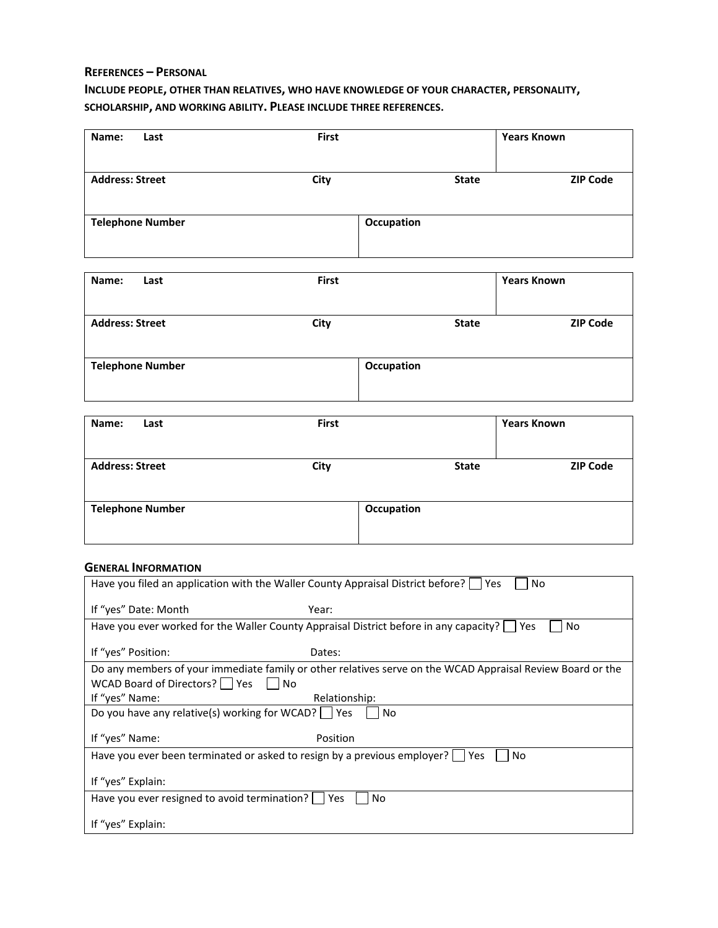#### **REFERENCES – PERSONAL**

## **INCLUDE PEOPLE, OTHER THAN RELATIVES, WHO HAVE KNOWLEDGE OF YOUR CHARACTER, PERSONALITY, SCHOLARSHIP, AND WORKING ABILITY. PLEASE INCLUDE THREE REFERENCES.**

| Name:<br>Last           | First      |              | <b>Years Known</b> |
|-------------------------|------------|--------------|--------------------|
| <b>Address: Street</b>  | City       | <b>State</b> | <b>ZIP Code</b>    |
|                         |            |              |                    |
| <b>Telephone Number</b> | Occupation |              |                    |

| Name:<br>Last           | <b>First</b> |              | <b>Years Known</b> |
|-------------------------|--------------|--------------|--------------------|
| <b>Address: Street</b>  | City         | <b>State</b> | <b>ZIP Code</b>    |
| <b>Telephone Number</b> | Occupation   |              |                    |

| Name:<br>Last           | First      |              | <b>Years Known</b> |
|-------------------------|------------|--------------|--------------------|
| <b>Address: Street</b>  | City       | <b>State</b> | <b>ZIP Code</b>    |
| <b>Telephone Number</b> | Occupation |              |                    |

#### **GENERAL INFORMATION**

| Have you filed an application with the Waller County Appraisal District before?   Yes | No                                                                                                            |
|---------------------------------------------------------------------------------------|---------------------------------------------------------------------------------------------------------------|
| If "yes" Date: Month                                                                  | Year:                                                                                                         |
|                                                                                       | Have you ever worked for the Waller County Appraisal District before in any capacity? $\Box$ Yes<br><b>No</b> |
| If "yes" Position:                                                                    | Dates:                                                                                                        |
|                                                                                       | Do any members of your immediate family or other relatives serve on the WCAD Appraisal Review Board or the    |
| WCAD Board of Directors? $\Box$ Yes<br>No                                             |                                                                                                               |
| If "yes" Name:                                                                        | Relationship:                                                                                                 |
| Do you have any relative(s) working for WCAD?   Yes                                   | No.                                                                                                           |
| If "yes" Name:                                                                        | Position                                                                                                      |
| Have you ever been terminated or asked to resign by a previous employer?   Yes        | No                                                                                                            |
| If "yes" Explain:                                                                     |                                                                                                               |
| Have you ever resigned to avoid termination?   Yes                                    | No.                                                                                                           |
| If "yes" Explain:                                                                     |                                                                                                               |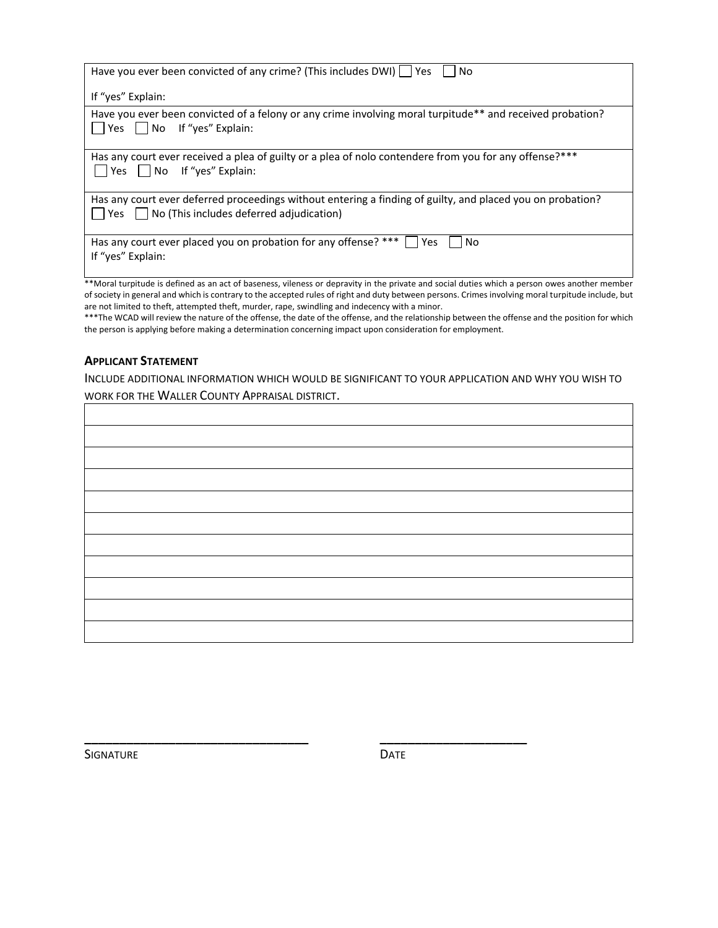| Have you ever been convicted of any crime? (This includes DWI)   Yes<br>No.                                                                                              |
|--------------------------------------------------------------------------------------------------------------------------------------------------------------------------|
| If "yes" Explain:                                                                                                                                                        |
| Have you ever been convicted of a felony or any crime involving moral turpitude** and received probation?<br>    Yes     No If "yes" Explain:                            |
| Has any court ever received a plea of guilty or a plea of nolo contendere from you for any offense?***<br>$\blacksquare$ Yes $\blacksquare$ No If "yes" Explain:         |
| Has any court ever deferred proceedings without entering a finding of guilty, and placed you on probation?<br>$\vert$   Yes     No (This includes deferred adjudication) |
| Has any court ever placed you on probation for any offense? *** $\vert \vert$ Yes<br>No.<br>If "yes" Explain:                                                            |
| **Moral turpitude is defined as an act of baseness, vileness or depravity in the private and social duties which a person owes another member                            |

\*\*Moral turpitude is defined as an act of baseness, vileness or depravity in the private and social duties which a person owes another member of society in general and which is contrary to the accepted rules of right and duty between persons. Crimes involving moral turpitude include, but are not limited to theft, attempted theft, murder, rape, swindling and indecency with a minor.

\*\*\*The WCAD will review the nature of the offense, the date of the offense, and the relationship between the offense and the position for which the person is applying before making a determination concerning impact upon consideration for employment.

#### **APPLICANT STATEMENT**

INCLUDE ADDITIONAL INFORMATION WHICH WOULD BE SIGNIFICANT TO YOUR APPLICATION AND WHY YOU WISH TO WORK FOR THE WALLER COUNTY APPRAISAL DISTRICT.

SIGNATURE DATE

**\_\_\_\_\_\_\_\_\_\_\_\_\_\_\_\_\_\_\_\_\_\_\_\_\_\_\_\_\_\_\_\_ \_\_\_\_\_\_\_\_\_\_\_\_\_\_\_\_\_\_\_\_\_**